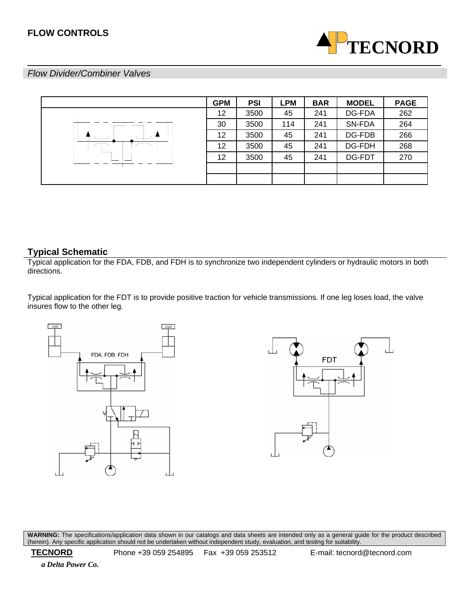

# *Flow Divider/Combiner Valves*

|  | <b>GPM</b> | <b>PSI</b> | LPM | <b>BAR</b> | <b>MODEL</b> | <b>PAGE</b> |
|--|------------|------------|-----|------------|--------------|-------------|
|  | 12         | 3500       | 45  | 241        | DG-FDA       | 262         |
|  | 30         | 3500       | 114 | 241        | SN-FDA       | 264         |
|  | 12         | 3500       | 45  | 241        | DG-FDB       | 266         |
|  | 12         | 3500       | 45  | 241        | DG-FDH       | 268         |
|  | 12         | 3500       | 45  | 241        | DG-FDT       | 270         |
|  |            |            |     |            |              |             |
|  |            |            |     |            |              |             |

# **Typical Schematic**

Typical application for the FDA, FDB, and FDH is to synchronize two independent cylinders or hydraulic motors in both directions.

Typical application for the FDT is to provide positive traction for vehicle transmissions. If one leg loses load, the valve insures flow to the other leg.





**WARNING:** The specifications/application data shown in our catalogs and data sheets are intended only as a general guide for the product described (herein). Any specific application should not be undertaken without independent study, evaluation, and testing for suitability.

 **TECNORD** Phone +39 059 254895 Fax +39 059 253512 E-mail: tecnord@tecnord.com

 *a Delta Power Co.*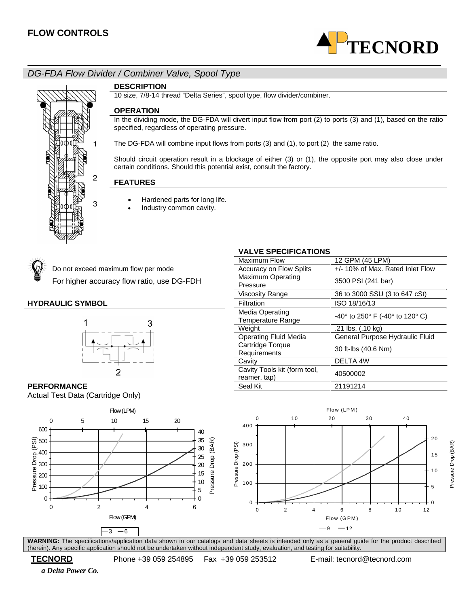

# *DG-FDA Flow Divider / Combiner Valve, Spool Type*



#### **DESCRIPTION**

10 size, 7/8-14 thread "Delta Series", spool type, flow divider/combiner.

#### **OPERATION**

In the dividing mode, the DG-FDA will divert input flow from port (2) to ports (3) and (1), based on the ratio specified, regardless of operating pressure.

The DG-FDA will combine input flows from ports (3) and (1), to port (2) the same ratio.

Should circuit operation result in a blockage of either (3) or (1), the opposite port may also close under certain conditions. Should this potential exist, consult the factory.

**VALVE SPECIFICATIONS** 

Cavity Tools kit (form tool,

Cavity Tools Kit (form tool,  $40500002$ <br>reamer, tap)

#### **FEATURES**

- Hardened parts for long life.
	- Industry common cavity.



For higher accuracy flow ratio, use DG-FDH Maximum Operating



#### Do not exceed maximum flow per mode example Accuracy on Flow Splits +/- 10% of Max. Rated Inlet Flow 3500 PSI (241 bar) Viscosity Range 36 to 3000 SSU (3 to 647 cSt) **HYDRAULIC SYMBOL Filtration Filtration ISO 18/16/13** Media Operating<br>Temperature Range -40° to 250° F (-40° to 120° C) Weight .21 lbs. (.10 kg) Operating Fluid Media General Purpose Hydraulic Fluid Cartridge Torque Requirements 30 ft-lbs (40.6 Nm) Cavity **DELTA 4W**

Maximum Flow 12 GPM (45 LPM)

#### **PERFORMANCE** 21191214

Actual Test Data (Cartridge Only)





**WARNING:** The specifications/application data shown in our catalogs and data sheets is intended only as a general guide for the product described (herein). Any specific application should not be undertaken without independent study, evaluation, and testing for suitability.

 **TECNORD** Phone +39 059 254895 Fax +39 059 253512 E-mail: tecnord@tecnord.com

 *a Delta Power Co.*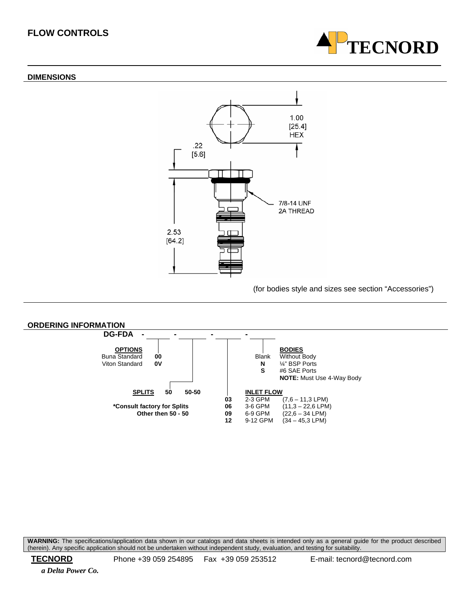#### **DIMENSIONS**





(for bodies style and sizes see section "Accessories")



**WARNING:** The specifications/application data shown in our catalogs and data sheets is intended only as a general guide for the product described (herein). Any specific application should not be undertaken without independent study, evaluation, and testing for suitability.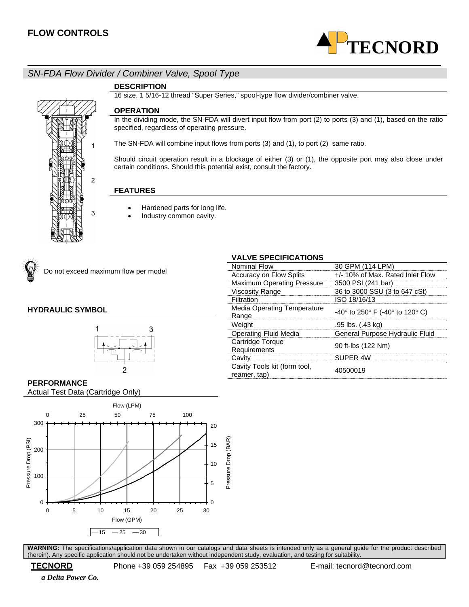

# *SN-FDA Flow Divider / Combiner Valve, Spool Type*

#### **DESCRIPTION**

16 size, 1 5/16-12 thread "Super Series," spool-type flow divider/combiner valve.

#### **OPERATION**

In the dividing mode, the SN-FDA will divert input flow from port (2) to ports (3) and (1), based on the ratio specified, regardless of operating pressure.

The SN-FDA will combine input flows from ports (3) and (1), to port (2) same ratio.

Should circuit operation result in a blockage of either (3) or (1), the opposite port may also close under certain conditions. Should this potential exist, consult the factory.

#### **FEATURES**

- Hardened parts for long life.
- Industry common cavity.



Do not exceed maximum flow per model

2

3

#### **HYDRAULIC SYMBOL**



# **VALVE SPECIFICATIONS**

| Nominal Flow                                 | 30 GPM (114 LPM)                 |
|----------------------------------------------|----------------------------------|
| <b>Accuracy on Flow Splits</b>               | +/- 10% of Max. Rated Inlet Flow |
| <b>Maximum Operating Pressure</b>            | 3500 PSI (241 bar)               |
| <b>Viscosity Range</b>                       | 36 to 3000 SSU (3 to 647 cSt)    |
| Filtration                                   | ISO 18/16/13                     |
| Media Operating Temperature<br>Range         | -40° to 250° F (-40° to 120° C)  |
| Weight                                       | .95 lbs. (.43 kg)                |
| <b>Operating Fluid Media</b>                 | General Purpose Hydraulic Fluid  |
| Cartridge Torque<br>Requirements             | 90 ft-lbs (122 Nm)               |
| Cavity                                       | SUPER 4W                         |
| Cavity Tools kit (form tool,<br>reamer, tap) | 40500019                         |

#### **PERFORMANCE**

Actual Test Data (Cartridge Only)



**WARNING:** The specifications/application data shown in our catalogs and data sheets is intended only as a general guide for the product described (herein). Any specific application should not be undertaken without independent study, evaluation, and testing for suitability.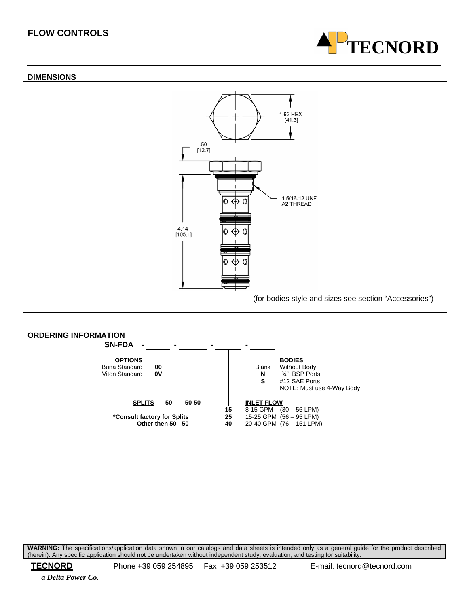#### **DIMENSIONS**





(for bodies style and sizes see section "Accessories")



**WARNING:** The specifications/application data shown in our catalogs and data sheets is intended only as a general guide for the product described (herein). Any specific application should not be undertaken without independent study, evaluation, and testing for suitability.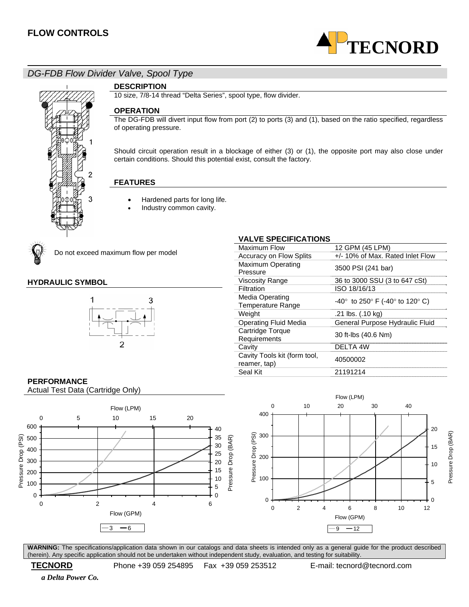

# *DG-FDB Flow Divider Valve, Spool Type*



#### **DESCRIPTION**

10 size, 7/8-14 thread "Delta Series", spool type, flow divider.

#### **OPERATION**

The DG-FDB will divert input flow from port (2) to ports (3) and (1), based on the ratio specified, regardless of operating pressure.

Should circuit operation result in a blockage of either (3) or (1), the opposite port may also close under certain conditions. Should this potential exist, consult the factory.

#### **FEATURES**

- Hardened parts for long life.
	- Industry common cavity.



Do not exceed maximum flow per model

#### **HYDRAULIC SYMBOL**



#### **VALVE SPECIFICATIONS**

| <b>Maximum Flow</b>                                | 12 GPM (45 LPM)                          |  |  |
|----------------------------------------------------|------------------------------------------|--|--|
| Accuracy on Flow Splits                            | +/- 10% of Max. Rated Inlet Flow         |  |  |
| <b>Maximum Operating</b><br>Pressure               | 3500 PSI (241 bar)                       |  |  |
| <b>Viscosity Range</b>                             | 36 to 3000 SSU (3 to 647 cSt)            |  |  |
| Filtration                                         | ISO 18/16/13                             |  |  |
| <b>Media Operating</b><br><b>Temperature Range</b> | $-40^{\circ}$ to 250° F (-40° to 120° C) |  |  |
| Weight                                             | .21 lbs. (.10 kg)                        |  |  |
| Operating Fluid Media                              | General Purpose Hydraulic Fluid          |  |  |
| Cartridge Torque<br>Requirements                   | 30 ft-lbs (40.6 Nm)                      |  |  |
| Cavity                                             | <b>DELTA 4W</b>                          |  |  |
| Cavity Tools kit (form tool,<br>reamer, tap)       | 40500002                                 |  |  |
| Seal Kit                                           | 21191214                                 |  |  |

# **PERFORMANCE**

Actual Test Data (Cartridge Only)





**WARNING:** The specifications/application data shown in our catalogs and data sheets is intended only as a general guide for the product described (herein). Any specific application should not be undertaken without independent study, evaluation, and testing for suitability.

 *a Delta Power Co.*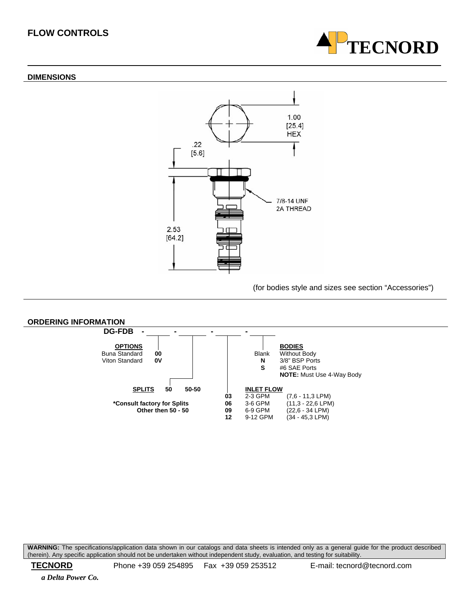#### **DIMENSIONS**





(for bodies style and sizes see section "Accessories")



**WARNING:** The specifications/application data shown in our catalogs and data sheets is intended only as a general guide for the product described (herein). Any specific application should not be undertaken without independent study, evaluation, and testing for suitability.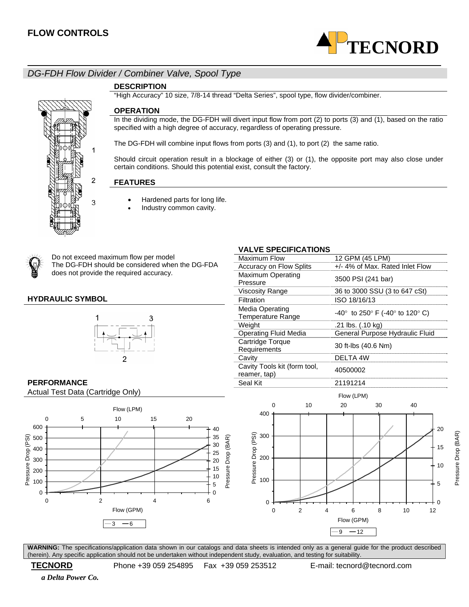

# *DG-FDH Flow Divider / Combiner Valve, Spool Type*

#### **DESCRIPTION**

"High Accuracy" 10 size, 7/8-14 thread "Delta Series", spool type, flow divider/combiner.

#### **OPERATION**

In the dividing mode, the DG-FDH will divert input flow from port (2) to ports (3) and (1), based on the ratio specified with a high degree of accuracy, regardless of operating pressure.

The DG-FDH will combine input flows from ports (3) and (1), to port (2) the same ratio.

Should circuit operation result in a blockage of either (3) or (1), the opposite port may also close under certain conditions. Should this potential exist, consult the factory.

#### **FEATURES**

1

2

3

- Hardened parts for long life.
	- Industry common cavity.



Do not exceed maximum flow per model The DG-FDH should be considered when the DG-FDA does not provide the required accuracy.

#### **HYDRAULIC SYMBOL**



# **VALVE SPECIFICATIONS**

| Maximum Flow                                 | 12 GPM (45 LPM)                          |  |
|----------------------------------------------|------------------------------------------|--|
| <b>Accuracy on Flow Splits</b>               | +/- 4% of Max. Rated Inlet Flow          |  |
| <b>Maximum Operating</b><br>Pressure         | 3500 PSI (241 bar)                       |  |
| <b>Viscosity Range</b>                       | 36 to 3000 SSU (3 to 647 cSt)            |  |
| Filtration                                   | ISO 18/16/13                             |  |
| Media Operating<br><b>Temperature Range</b>  | $-40^{\circ}$ to 250° F (-40° to 120° C) |  |
| Weight                                       | .21 lbs. (.10 kg)                        |  |
| <b>Operating Fluid Media</b>                 | General Purpose Hydraulic Fluid          |  |
| Cartridge Torque<br>Requirements             | 30 ft-lbs (40.6 Nm)                      |  |
| Cavity                                       | DELTA 4W                                 |  |
| Cavity Tools kit (form tool,<br>reamer, tap) | 40500002                                 |  |
| Seal Kit                                     | 21191214                                 |  |
|                                              |                                          |  |

# **PERFORMANCE**

Actual Test Data (Cartridge Only)





Pressure Drop (BAR)

Pressure Drop (BAR)

**WARNING:** The specifications/application data shown in our catalogs and data sheets is intended only as a general guide for the product described (herein). Any specific application should not be undertaken without independent study, evaluation, and testing for suitability.

 **TECNORD** Phone +39 059 254895 Fax +39 059 253512 E-mail: tecnord@tecnord.com

 *a Delta Power Co.*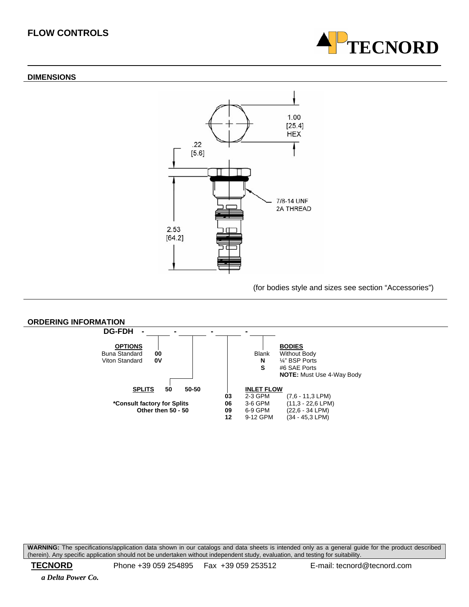#### **DIMENSIONS**





(for bodies style and sizes see section "Accessories")



**WARNING:** The specifications/application data shown in our catalogs and data sheets is intended only as a general guide for the product described (herein). Any specific application should not be undertaken without independent study, evaluation, and testing for suitability.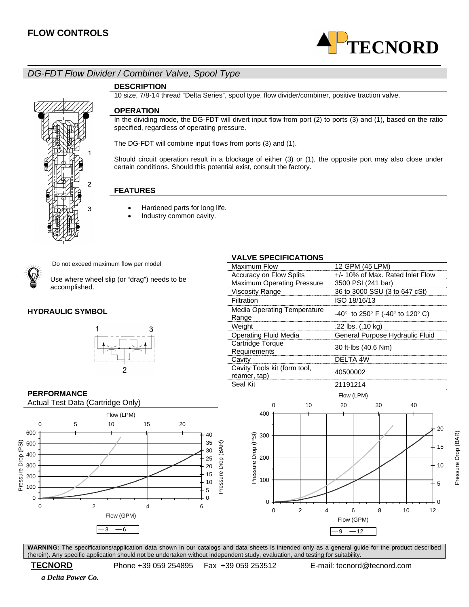

# *DG-FDT Flow Divider / Combiner Valve, Spool Type*

#### **DESCRIPTION**

10 size, 7/8-14 thread "Delta Series", spool type, flow divider/combiner, positive traction valve.

#### **OPERATION**

In the dividing mode, the DG-FDT will divert input flow from port (2) to ports (3) and (1), based on the ratio specified, regardless of operating pressure.

The DG-FDT will combine input flows from ports (3) and (1).

Should circuit operation result in a blockage of either (3) or (1), the opposite port may also close under certain conditions. Should this potential exist, consult the factory.

#### **FEATURES**

- Hardened parts for long life.
- Industry common cavity.



Do not exceed maximum flow per model

3

Use where wheel slip (or "drag") needs to be accomplished.

#### **HYDRAULIC SYMBOL**



### **PERFORMANCE**





Requirements 30 ft-lbs (40.6 Nm) Cavity **DELTA** 4W Cavity Tools kit (form tool,  $r_{\text{e}}$  and  $r_{\text{e}}$  tools with the tool,  $\frac{40500002}{r_{\text{e}}}$ Seal Kit 21191214 Flow (LPM) 0 10 20 30 40 400 20 Pressure Drop (PSI) 300 15 Pressure Dro 200 10 100 5 0  $\Omega$ 0 2 4 6 8 10 12 Flow (GPM)  $-9 - 12$ 

**WARNING:** The specifications/application data shown in our catalogs and data sheets is intended only as a general guide for the product described (herein). Any specific application should not be undertaken without independent study, evaluation, and testing for suitability.

 **TECNORD** Phone +39 059 254895 Fax +39 059 253512 E-mail: tecnord@tecnord.com

 *a Delta Power Co.* 

# **VALVE SPECIFICATIONS**

| טורטו בטוו וטא ווטו                          |                                   |                                  |                                 |                    |  |  |  |
|----------------------------------------------|-----------------------------------|----------------------------------|---------------------------------|--------------------|--|--|--|
| Maximum Flow                                 |                                   | 12 GPM (45 LPM)                  |                                 |                    |  |  |  |
| <b>Accuracy on Flow Splits</b>               |                                   | +/- 10% of Max. Rated Inlet Flow |                                 |                    |  |  |  |
|                                              | <b>Maximum Operating Pressure</b> |                                  |                                 | 3500 PSI (241 bar) |  |  |  |
| <b>Viscosity Range</b>                       |                                   |                                  | 36 to 3000 SSU (3 to 647 cSt)   |                    |  |  |  |
| Filtration                                   |                                   |                                  | ISO 18/16/13                    |                    |  |  |  |
| <b>Media Operating Temperature</b><br>Range  |                                   |                                  | -40° to 250° F (-40° to 120° C) |                    |  |  |  |
| Weight                                       |                                   | .22 lbs. (.10 kg)                |                                 |                    |  |  |  |
| <b>Operating Fluid Media</b>                 |                                   | General Purpose Hydraulic Fluid  |                                 |                    |  |  |  |
| Cartridge Torque<br>Requirements             |                                   | 30 ft-lbs (40.6 Nm)              |                                 |                    |  |  |  |
| Cavity                                       |                                   | DELTA 4W                         |                                 |                    |  |  |  |
| Cavity Tools kit (form tool,<br>reamer, tap) | 40500002                          |                                  |                                 |                    |  |  |  |
| Seal Kit                                     |                                   | 21191214                         |                                 |                    |  |  |  |
|                                              |                                   | Flow (LPM)                       |                                 |                    |  |  |  |
| ŋ                                            | 10                                | 20                               | 30                              | 40                 |  |  |  |
| 400<br>300<br>(PSI                           |                                   |                                  |                                 | 20<br>15           |  |  |  |